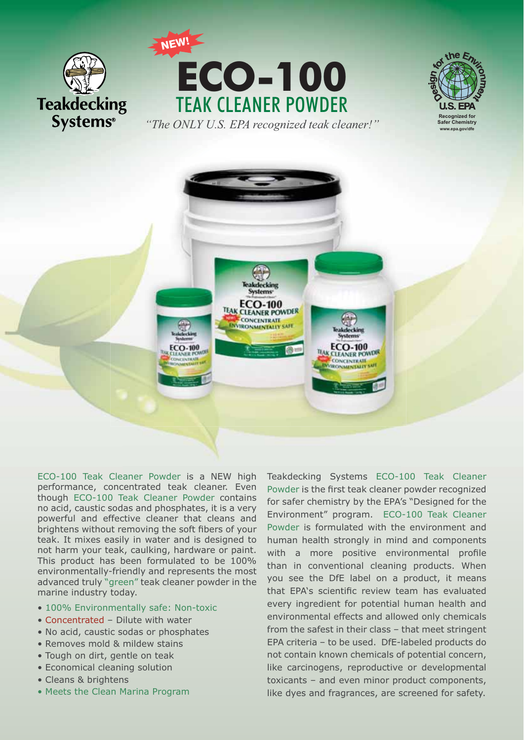



*"The ONLY U.S. EPA recognized teak cleaner!"* 





ECO-100 Teak Cleaner Powder is a NEW high performance, concentrated teak cleaner. Even though ECO-100 Teak Cleaner Powder contains no acid, caustic sodas and phosphates, it is a very powerful and effective cleaner that cleans and brightens without removing the soft fibers of your teak. It mixes easily in water and is designed to not harm your teak, caulking, hardware or paint. This product has been formulated to be 100% environmentally-friendly and represents the most advanced truly "green" teak cleaner powder in the marine industry today.

- 100% Environmentally safe: Non-toxic
- Concentrated Dilute with water
- No acid, caustic sodas or phosphates
- Removes mold & mildew stains
- Tough on dirt, gentle on teak
- Economical cleaning solution
- Cleans & brightens
- Meets the Clean Marina Program

Teakdecking Systems ECO-100 Teak Cleaner Powder is the first teak cleaner powder recognized for safer chemistry by the EPA's "Designed for the Environment" program. ECO-100 Teak Cleaner Powder is formulated with the environment and human health strongly in mind and components with a more positive environmental profile than in conventional cleaning products. When you see the DfE label on a product, it means that EPA's scientific review team has evaluated every ingredient for potential human health and environmental effects and allowed only chemicals from the safest in their class – that meet stringent EPA criteria – to be used. DfE-labeled products do not contain known chemicals of potential concern, like carcinogens, reproductive or developmental toxicants – and even minor product components, like dyes and fragrances, are screened for safety.